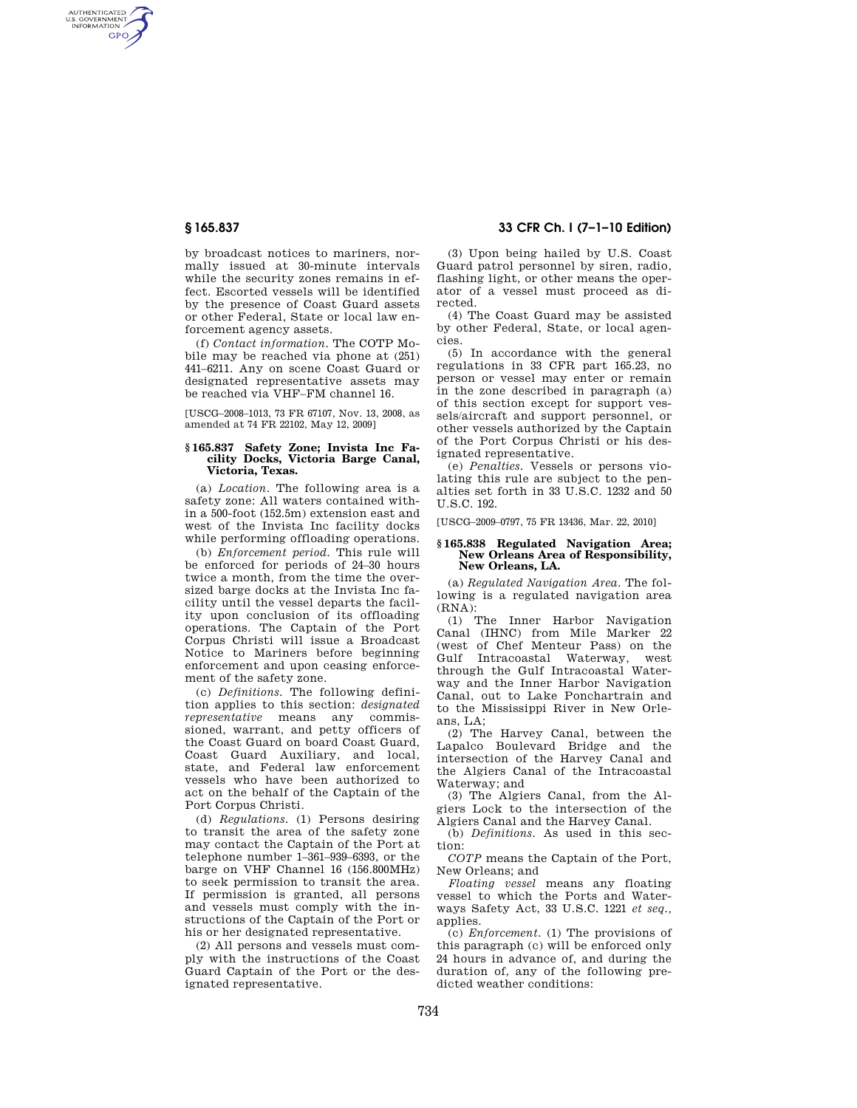AUTHENTICATED<br>U.S. GOVERNMENT<br>INFORMATION **GPO** 

> by broadcast notices to mariners, normally issued at 30-minute intervals while the security zones remains in effect. Escorted vessels will be identified by the presence of Coast Guard assets or other Federal, State or local law enforcement agency assets.

> (f) *Contact information*. The COTP Mobile may be reached via phone at (251) 441–6211. Any on scene Coast Guard or designated representative assets may be reached via VHF–FM channel 16.

> [USCG–2008–1013, 73 FR 67107, Nov. 13, 2008, as amended at 74 FR 22102, May 12, 2009]

#### **§ 165.837 Safety Zone; Invista Inc Facility Docks, Victoria Barge Canal, Victoria, Texas.**

(a) *Location.* The following area is a safety zone: All waters contained within a 500-foot (152.5m) extension east and west of the Invista Inc facility docks while performing offloading operations.

(b) *Enforcement period.* This rule will be enforced for periods of 24–30 hours twice a month, from the time the oversized barge docks at the Invista Inc facility until the vessel departs the facility upon conclusion of its offloading operations. The Captain of the Port Corpus Christi will issue a Broadcast Notice to Mariners before beginning enforcement and upon ceasing enforcement of the safety zone.

(c) *Definitions.* The following definition applies to this section: *designated representative* means any commissioned, warrant, and petty officers of the Coast Guard on board Coast Guard, Coast Guard Auxiliary, and local, state, and Federal law enforcement vessels who have been authorized to act on the behalf of the Captain of the Port Corpus Christi.

(d) *Regulations.* (1) Persons desiring to transit the area of the safety zone may contact the Captain of the Port at telephone number 1–361–939–6393, or the barge on VHF Channel 16 (156.800MHz) to seek permission to transit the area. If permission is granted, all persons and vessels must comply with the instructions of the Captain of the Port or his or her designated representative.

(2) All persons and vessels must comply with the instructions of the Coast Guard Captain of the Port or the designated representative.

# **§ 165.837 33 CFR Ch. I (7–1–10 Edition)**

(3) Upon being hailed by U.S. Coast Guard patrol personnel by siren, radio, flashing light, or other means the operator of a vessel must proceed as directed.

(4) The Coast Guard may be assisted by other Federal, State, or local agencies.

(5) In accordance with the general regulations in 33 CFR part 165.23, no person or vessel may enter or remain in the zone described in paragraph (a) of this section except for support vessels/aircraft and support personnel, or other vessels authorized by the Captain of the Port Corpus Christi or his designated representative.

(e) *Penalties.* Vessels or persons violating this rule are subject to the penalties set forth in 33 U.S.C. 1232 and 50 U.S.C. 192.

[USCG–2009–0797, 75 FR 13436, Mar. 22, 2010]

### **§ 165.838 Regulated Navigation Area; New Orleans Area of Responsibility, New Orleans, LA.**

(a) *Regulated Navigation Area.* The following is a regulated navigation area (RNA):

(1) The Inner Harbor Navigation Canal (IHNC) from Mile Marker 22 (west of Chef Menteur Pass) on the Gulf Intracoastal Waterway, west through the Gulf Intracoastal Waterway and the Inner Harbor Navigation Canal, out to Lake Ponchartrain and to the Mississippi River in New Orleans, LA;

(2) The Harvey Canal, between the Lapalco Boulevard Bridge and the intersection of the Harvey Canal and the Algiers Canal of the Intracoastal Waterway; and

(3) The Algiers Canal, from the Algiers Lock to the intersection of the Algiers Canal and the Harvey Canal.

(b) *Definitions.* As used in this section:

*COTP* means the Captain of the Port, New Orleans; and

*Floating vessel* means any floating vessel to which the Ports and Waterways Safety Act, 33 U.S.C. 1221 *et seq.,*  applies.

(c) *Enforcement.* (1) The provisions of this paragraph (c) will be enforced only 24 hours in advance of, and during the duration of, any of the following predicted weather conditions: